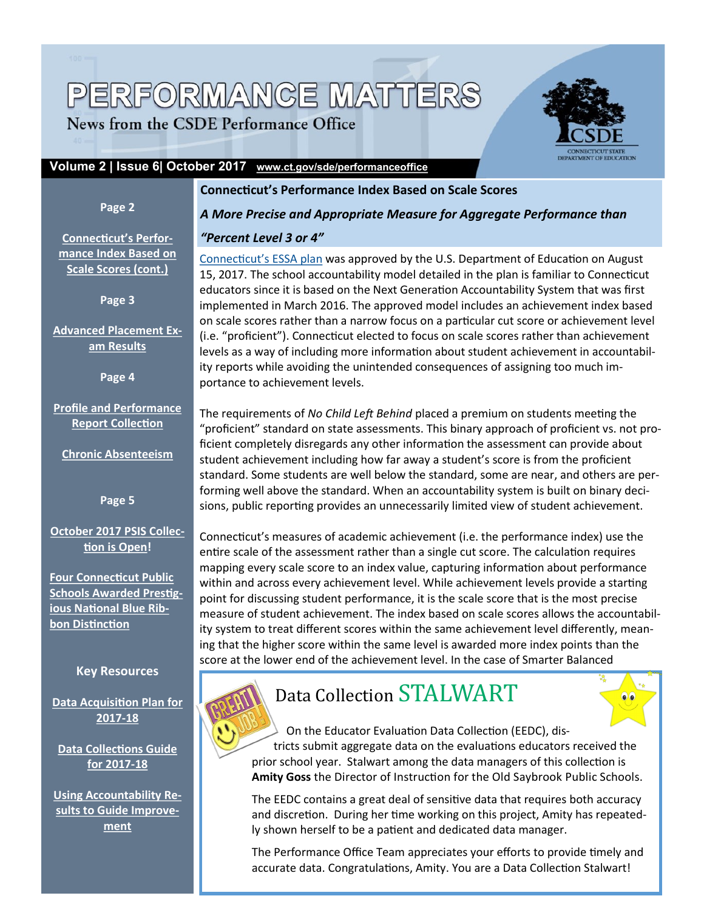# PERFORMANCE MATTERS

News from the CSDE Performance Office



#### **Volume 2 | Issue 6| October 2017 [www.ct.gov/sde/performanceoffice](http://edsight.ct.gov/SASPortal/navigate.do?PortalPage=PortalPage%2Bomi%3A%2F%2FMETASERVER.Foundation%2Freposname%3DFoundation%2FPSPortalPage%3Bid%3DA5M4TNY4.CG0001JZ)**

#### **Page 2**

### **Connecticut's Performance Index Based on Scale Scores**

**[Connecticut's Perfor](#page-1-0)[mance Index Based on](#page-1-0)  [Scale Scores \(cont.\)](#page-1-0)**

**Page 3**

**[Advanced Placement Ex](#page-2-0)[am Results](#page-2-0)**

**Page 4**

**[Profile and Performance](#page-3-0)  [Report Collection](#page-3-0)**

**[Chronic Absenteeism](#page-3-0)**

**Page 5**

#### **[October 2017 PSIS Collec](#page-4-0)[tion is Open!](#page-4-0)**

**[Four Connecticut Public](#page-4-0)  [Schools Awarded Prestig](#page-4-0)[ious National Blue Rib](#page-4-0)[bon Distinction](#page-4-0)**

#### **Key Resources**

**[Data Acquisition Plan for](http://www.sde.ct.gov/sde/cwp/view.asp?a=2758&q=334812)  [2017](http://www.sde.ct.gov/sde/cwp/view.asp?a=2758&q=334812)-18**

**[Data Collections Guide](http://www.sde.ct.gov/sde/lib/sde/pdf/evalresearch/collectionsguide18.pdf)  [for 2017](http://www.sde.ct.gov/sde/lib/sde/pdf/evalresearch/collectionsguide18.pdf)-18**

**[Using Accountability Re](http://www.sde.ct.gov/sde/lib/sde/pdf/evalresearch/using_accountability_results_to_guide_improvement_20160228.pdf)[sults to Guide Improve](http://www.sde.ct.gov/sde/lib/sde/pdf/evalresearch/using_accountability_results_to_guide_improvement_20160228.pdf)[ment](http://www.sde.ct.gov/sde/lib/sde/pdf/evalresearch/using_accountability_results_to_guide_improvement_20160228.pdf)**

*A More Precise and Appropriate Measure for Aggregate Performance than* 

#### *"Percent Level 3 or 4"*

[Connecticut's ESSA plan](http://www.sde.ct.gov/sde/lib/sde/pdf/essa/august_4_ct_consolidated_state_essa_plan.pdf) was approved by the U.S. Department of Education on August 15, 2017. The school accountability model detailed in the plan is familiar to Connecticut educators since it is based on the Next Generation Accountability System that was first implemented in March 2016. The approved model includes an achievement index based on scale scores rather than a narrow focus on a particular cut score or achievement level (i.e. "proficient"). Connecticut elected to focus on scale scores rather than achievement levels as a way of including more information about student achievement in accountability reports while avoiding the unintended consequences of assigning too much importance to achievement levels.

The requirements of *No Child Left Behind* placed a premium on students meeting the "proficient" standard on state assessments. This binary approach of proficient vs. not proficient completely disregards any other information the assessment can provide about student achievement including how far away a student's score is from the proficient standard. Some students are well below the standard, some are near, and others are performing well above the standard. When an accountability system is built on binary decisions, public reporting provides an unnecessarily limited view of student achievement.

Connecticut's measures of academic achievement (i.e. the performance index) use the entire scale of the assessment rather than a single cut score. The calculation requires mapping every scale score to an index value, capturing information about performance within and across every achievement level. While achievement levels provide a starting point for discussing student performance, it is the scale score that is the most precise measure of student achievement. The index based on scale scores allows the accountability system to treat different scores within the same achievement level differently, meaning that the higher score within the same level is awarded more index points than the score at the lower end of the achievement level. In the case of Smarter Balanced



## Data Collection STALWART



On the Educator Evaluation Data Collection (EEDC), districts submit aggregate data on the evaluations educators received the

prior school year. Stalwart among the data managers of this collection is **Amity Goss** the Director of Instruction for the Old Saybrook Public Schools.

The EEDC contains a great deal of sensitive data that requires both accuracy and discretion. During her time working on this project, Amity has repeatedly shown herself to be a patient and dedicated data manager.

The Performance Office Team appreciates your efforts to provide timely and accurate data. Congratulations, Amity. You are a Data Collection Stalwart!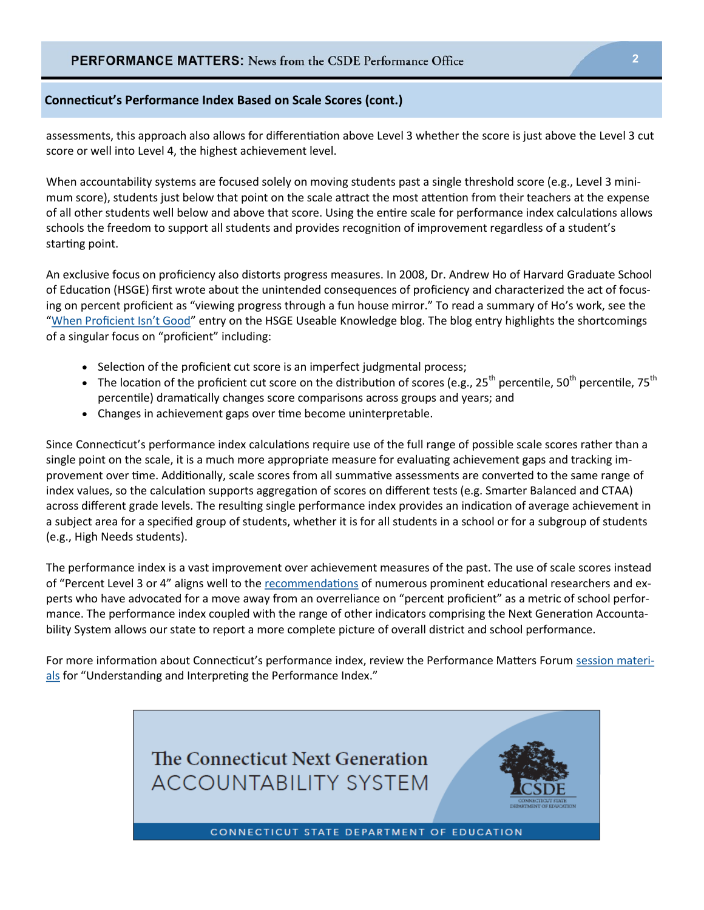#### <span id="page-1-0"></span>**Connecticut's Performance Index Based on Scale Scores (cont.)**

assessments, this approach also allows for differentiation above Level 3 whether the score is just above the Level 3 cut score or well into Level 4, the highest achievement level.

When accountability systems are focused solely on moving students past a single threshold score (e.g., Level 3 minimum score), students just below that point on the scale attract the most attention from their teachers at the expense of all other students well below and above that score. Using the entire scale for performance index calculations allows schools the freedom to support all students and provides recognition of improvement regardless of a student's starting point.

An exclusive focus on proficiency also distorts progress measures. In 2008, Dr. Andrew Ho of Harvard Graduate School of Education (HSGE) first wrote about the unintended consequences of proficiency and characterized the act of focusing on percent proficient as "viewing progress through a fun house mirror." To read a summary of Ho's work, see the "[When Proficient Isn't Good"](https://www.gse.harvard.edu/news/uk/15/12/when-proficient-isnt-good) entry on the HSGE Useable Knowledge blog. The blog entry highlights the shortcomings of a singular focus on "proficient" including:

- Selection of the proficient cut score is an imperfect judgmental process;
- The location of the proficient cut score on the distribution of scores (e.g., 25<sup>th</sup> percentile, 50<sup>th</sup> percentile, 75<sup>th</sup> percentile) dramatically changes score comparisons across groups and years; and
- Changes in achievement gaps over time become uninterpretable.

Since Connecticut's performance index calculations require use of the full range of possible scale scores rather than a single point on the scale, it is a much more appropriate measure for evaluating achievement gaps and tracking improvement over time. Additionally, scale scores from all summative assessments are converted to the same range of index values, so the calculation supports aggregation of scores on different tests (e.g. Smarter Balanced and CTAA) across different grade levels. The resulting single performance index provides an indication of average achievement in a subject area for a specified group of students, whether it is for all students in a school or for a subgroup of students (e.g., High Needs students).

The performance index is a vast improvement over achievement measures of the past. The use of scale scores instead of "Percent Level 3 or 4" aligns well to the [recommendations](https://morganpolikoff.com/2016/07/12/a-letter-to-the-u-s-department-of-education/) of numerous prominent educational researchers and experts who have advocated for a move away from an overreliance on "percent proficient" as a metric of school performance. The performance index coupled with the range of other indicators comprising the Next Generation Accountability System allows our state to report a more complete picture of overall district and school performance.

For more information about Connecticut's performance index, review the Performance Matters Forum [session materi](https://www.csde.state.ct.us/public/performancemattersforum/materials.asp)[als](https://www.csde.state.ct.us/public/performancemattersforum/materials.asp) for "Understanding and Interpreting the Performance Index."

> The Connecticut Next Generation **ACCOUNTABILITY SYSTEM**



CONNECTICUT STATE DEPARTMENT OF EDUCATION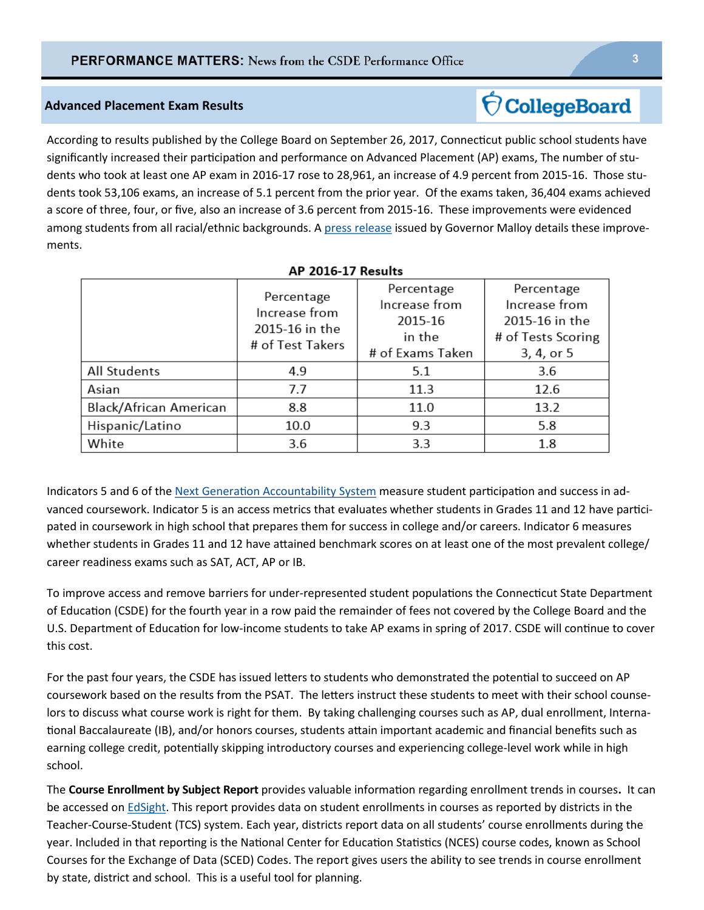#### <span id="page-2-0"></span>**Advanced Placement Exam Results**

According to results published by the College Board on September 26, 2017, Connecticut public school students have significantly increased their participation and performance on Advanced Placement (AP) exams, The number of students who took at least one AP exam in 2016-17 rose to 28,961, an increase of 4.9 percent from 2015-16. Those students took 53,106 exams, an increase of 5.1 percent from the prior year. Of the exams taken, 36,404 exams achieved a score of three, four, or five, also an increase of 3.6 percent from 2015-16. These improvements were evidenced among students from all racial/ethnic backgrounds. A [press release](http://portal.ct.gov/Office-of-the-Governor/Press-Room/Press-Releases/2017/09-2017/Gov-Malloy-Connecticut-Students-Enrolling-in-Advanced-Placement-Courses-at-Significant-Pace) issued by Governor Malloy details these improvements.

|                        | Percentage<br>Increase from<br>2015-16 in the<br># of Test Takers | Percentage<br>Increase from<br>2015-16<br>in the<br># of Exams Taken | Percentage<br>Increase from<br>2015-16 in the<br># of Tests Scoring<br>3, 4, or 5 |
|------------------------|-------------------------------------------------------------------|----------------------------------------------------------------------|-----------------------------------------------------------------------------------|
| All Students           | 4.9                                                               | 5.1                                                                  | 3.6                                                                               |
| Asian                  | 7.7                                                               | 11.3                                                                 | 12.6                                                                              |
| Black/African American | 8.8                                                               | 11.0                                                                 | 13.2                                                                              |
| Hispanic/Latino        | 10.0                                                              | 9.3                                                                  | 5.8                                                                               |
| White                  | 3.6                                                               | 3.3                                                                  | 1.8                                                                               |

#### **AP 2016-17 Results**

Indicators 5 and 6 of the [Next Generation Accountability System](http://www.sde.ct.gov/sde/cwp/view.asp?a=2683&Q=334346) measure student participation and success in advanced coursework. Indicator 5 is an access metrics that evaluates whether students in Grades 11 and 12 have participated in coursework in high school that prepares them for success in college and/or careers. Indicator 6 measures whether students in Grades 11 and 12 have attained benchmark scores on at least one of the most prevalent college/ career readiness exams such as SAT, ACT, AP or IB.

To improve access and remove barriers for under-represented student populations the Connecticut State Department of Education (CSDE) for the fourth year in a row paid the remainder of fees not covered by the College Board and the U.S. Department of Education for low-income students to take AP exams in spring of 2017. CSDE will continue to cover this cost.

For the past four years, the CSDE has issued letters to students who demonstrated the potential to succeed on AP coursework based on the results from the PSAT. The letters instruct these students to meet with their school counselors to discuss what course work is right for them. By taking challenging courses such as AP, dual enrollment, International Baccalaureate (IB), and/or honors courses, students attain important academic and financial benefits such as earning college credit, potentially skipping introductory courses and experiencing college-level work while in high school.

The **Course Enrollment by Subject Report** provides valuable information regarding enrollment trends in courses**.** It can be accessed on **EdSight**. This report provides data on student enrollments in courses as reported by districts in the Teacher-Course-Student (TCS) system. Each year, districts report data on all students' course enrollments during the year. Included in that reporting is the National Center for Education Statistics (NCES) course codes, known as School Courses for the Exchange of Data (SCED) Codes. The report gives users the ability to see trends in course enrollment by state, district and school. This is a useful tool for planning.

### **CollegeBoard**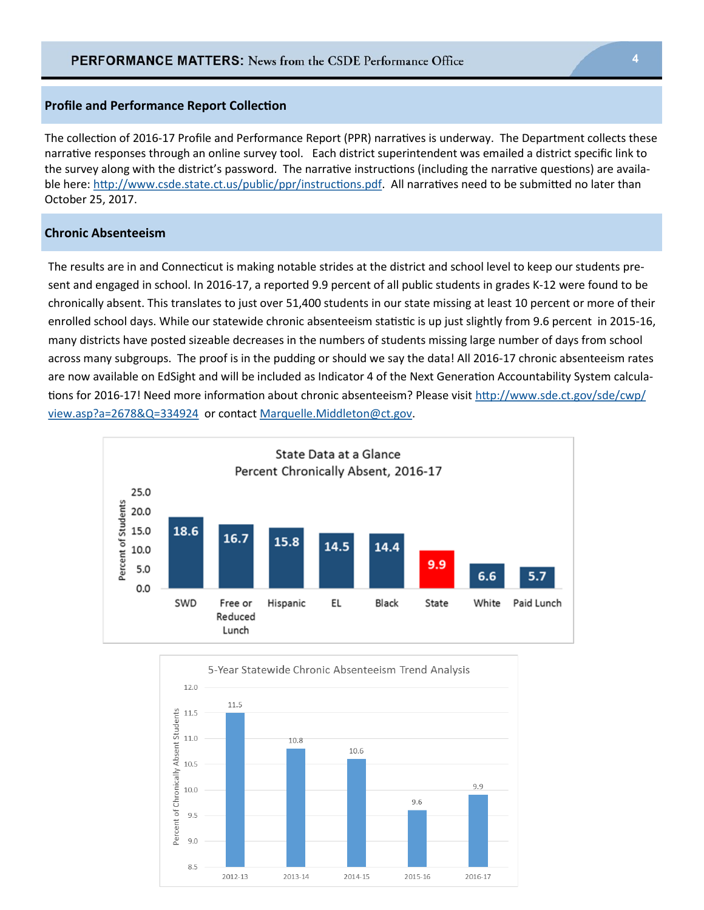#### <span id="page-3-0"></span>**Profile and Performance Report Collection**

The collection of 2016-17 Profile and Performance Report (PPR) narratives is underway. The Department collects these narrative responses through an online survey tool. Each district superintendent was emailed a district specific link to the survey along with the district's password. The narrative instructions (including the narrative questions) are available here: [http://www.csde.state.ct.us/public/ppr/instructions.pdf.](http://www.csde.state.ct.us/public/ppr/instructions.pdf) All narratives need to be submitted no later than October 25, 2017.

#### **Chronic Absenteeism**

The results are in and Connecticut is making notable strides at the district and school level to keep our students present and engaged in school. In 2016-17, a reported 9.9 percent of all public students in grades K-12 were found to be chronically absent. This translates to just over 51,400 students in our state missing at least 10 percent or more of their enrolled school days. While our statewide chronic absenteeism statistic is up just slightly from 9.6 percent in 2015-16, many districts have posted sizeable decreases in the numbers of students missing large number of days from school across many subgroups. The proof is in the pudding or should we say the data! All 2016-17 chronic absenteeism rates are now available on EdSight and will be included as Indicator 4 of the Next Generation Accountability System calculations for 2016-17! Need more information about chronic absenteeism? Please visit [http://www.sde.ct.gov/sde/cwp/](http://www.sde.ct.gov/sde/cwp/view.asp?a=2678&Q=334924) [view.asp?a=2678&Q=334924](http://www.sde.ct.gov/sde/cwp/view.asp?a=2678&Q=334924) or contact [Marquelle.Middleton@ct.gov.](mailto:Marquelle.Middleton@ct.gov)